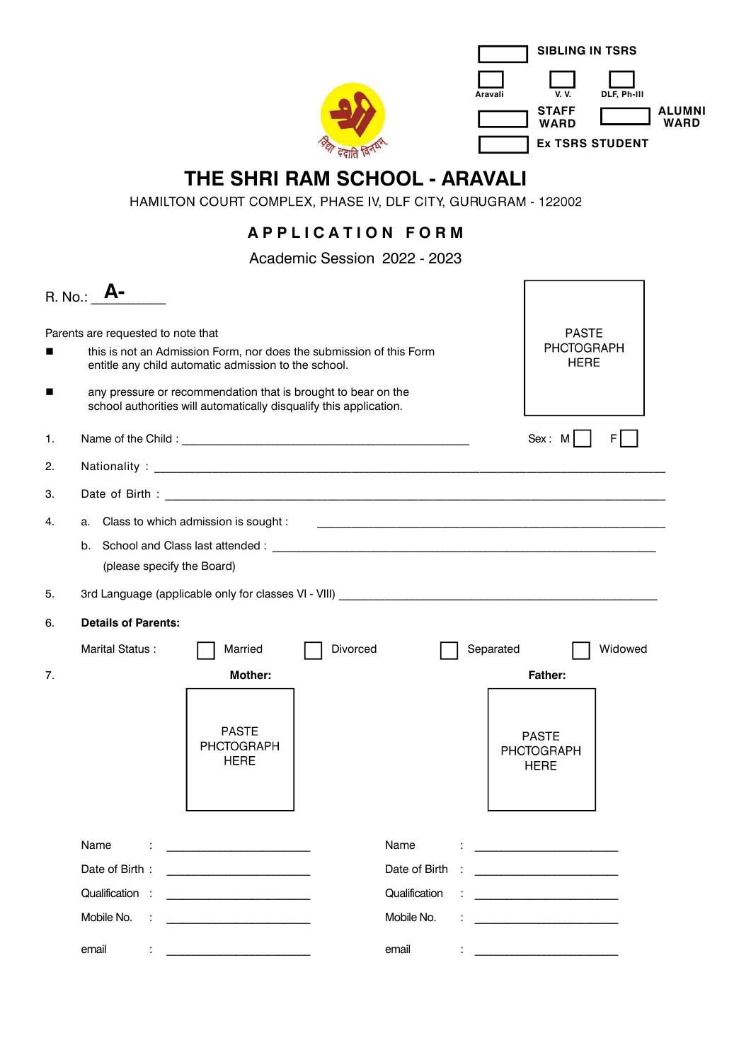

## **THE SHRI RAM SCHOOL - ARAVALI**<br>HAMILTON COURT COMPLEX, PHASE IV, DLF CITY, GURUGRAM - 122002

## **A P P L I C A T I O N F O R M**

Academic Session 2022 - 2023

|    | R. No.: <b>A-</b>                  |                            |                                                                                                                                                                                                                                      |          |               |           |                                                                                                                       |         |
|----|------------------------------------|----------------------------|--------------------------------------------------------------------------------------------------------------------------------------------------------------------------------------------------------------------------------------|----------|---------------|-----------|-----------------------------------------------------------------------------------------------------------------------|---------|
|    | Parents are requested to note that |                            | this is not an Admission Form, nor does the submission of this Form<br>entitle any child automatic admission to the school.                                                                                                          |          |               |           | <b>PASTE</b><br><b>PHOTOGRAPH</b><br><b>HERE</b>                                                                      |         |
| ■  |                                    |                            | any pressure or recommendation that is brought to bear on the<br>school authorities will automatically disqualify this application.                                                                                                  |          |               |           |                                                                                                                       |         |
| 1. |                                    |                            | Name of the Child:                                                                                                                                                                                                                   |          |               |           | Sex: M                                                                                                                | ΕI      |
| 2. |                                    |                            |                                                                                                                                                                                                                                      |          |               |           |                                                                                                                       |         |
| З. |                                    |                            |                                                                                                                                                                                                                                      |          |               |           |                                                                                                                       |         |
| 4. |                                    |                            | a. Class to which admission is sought :                                                                                                                                                                                              |          |               |           |                                                                                                                       |         |
|    |                                    | (please specify the Board) |                                                                                                                                                                                                                                      |          |               |           |                                                                                                                       |         |
| 5. |                                    |                            |                                                                                                                                                                                                                                      |          |               |           |                                                                                                                       |         |
| 6. | <b>Details of Parents:</b>         |                            |                                                                                                                                                                                                                                      |          |               |           |                                                                                                                       |         |
|    | Marital Status:                    |                            | Married                                                                                                                                                                                                                              | Divorced |               | Separated |                                                                                                                       | Widowed |
| 7. |                                    |                            | Mother:                                                                                                                                                                                                                              |          |               |           | <b>Father:</b>                                                                                                        |         |
|    |                                    |                            | <b>PASTE</b><br><b>PHOTOGRAPH</b><br><b>HERE</b>                                                                                                                                                                                     |          |               |           | <b>PASTE</b><br><b>PHOTOGRAPH</b><br><b>HERE</b>                                                                      |         |
|    | Name                               |                            |                                                                                                                                                                                                                                      |          | Name          |           |                                                                                                                       |         |
|    | Date of Birth:                     |                            | <u>and the state of the state of the state of the state of the state of the state of the state of the state of the state of the state of the state of the state of the state of the state of the state of the state of the state</u> |          | Date of Birth |           | <u> 1986 - Johann Stone, Amerikaansk politiker (</u>                                                                  |         |
|    | Qualification:                     |                            |                                                                                                                                                                                                                                      |          | Qualification |           |                                                                                                                       |         |
|    | Mobile No.                         |                            |                                                                                                                                                                                                                                      |          | Mobile No.    |           | <u> 1989 - Johann Harry Harry Harry Harry Harry Harry Harry Harry Harry Harry Harry Harry Harry Harry Harry Harry</u> |         |
|    | email                              |                            |                                                                                                                                                                                                                                      |          | email         |           |                                                                                                                       |         |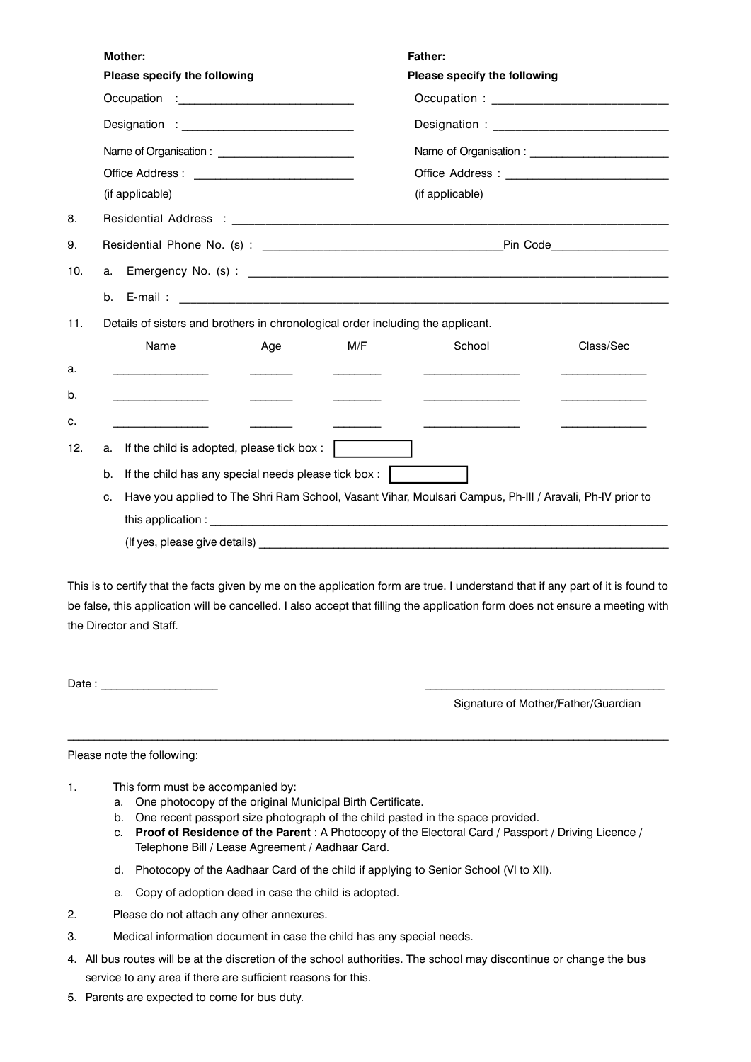| <b>Mother:</b>                                                                  |     |     | <b>Father:</b>                                                                                           |           |  |  |  |  |  |
|---------------------------------------------------------------------------------|-----|-----|----------------------------------------------------------------------------------------------------------|-----------|--|--|--|--|--|
| Please specify the following                                                    |     |     | Please specify the following                                                                             |           |  |  |  |  |  |
|                                                                                 |     |     |                                                                                                          |           |  |  |  |  |  |
|                                                                                 |     |     |                                                                                                          |           |  |  |  |  |  |
|                                                                                 |     |     |                                                                                                          |           |  |  |  |  |  |
|                                                                                 |     |     |                                                                                                          |           |  |  |  |  |  |
| (if applicable)                                                                 |     |     | (if applicable)                                                                                          |           |  |  |  |  |  |
|                                                                                 |     |     |                                                                                                          |           |  |  |  |  |  |
|                                                                                 |     |     |                                                                                                          |           |  |  |  |  |  |
|                                                                                 |     |     |                                                                                                          |           |  |  |  |  |  |
|                                                                                 |     |     |                                                                                                          |           |  |  |  |  |  |
| Details of sisters and brothers in chronological order including the applicant. |     |     |                                                                                                          |           |  |  |  |  |  |
|                                                                                 |     |     |                                                                                                          |           |  |  |  |  |  |
| Name                                                                            | Age | M/F | School                                                                                                   | Class/Sec |  |  |  |  |  |
|                                                                                 |     |     |                                                                                                          |           |  |  |  |  |  |
|                                                                                 |     |     |                                                                                                          |           |  |  |  |  |  |
|                                                                                 |     |     |                                                                                                          |           |  |  |  |  |  |
| a.                                                                              |     |     |                                                                                                          |           |  |  |  |  |  |
| If the child is adopted, please tick box:                                       |     |     |                                                                                                          |           |  |  |  |  |  |
| If the child has any special needs please tick box:<br>b.                       |     |     |                                                                                                          |           |  |  |  |  |  |
| c.                                                                              |     |     | Have you applied to The Shri Ram School, Vasant Vihar, Moulsari Campus, Ph-III / Aravali, Ph-IV prior to |           |  |  |  |  |  |
|                                                                                 |     |     |                                                                                                          |           |  |  |  |  |  |

This is to certify that the facts given by me on the application form are true. I understand that if any part of it is found to be false, this application will be cancelled. I also accept that filling the application form does not ensure a meeting with the Director and Staff.

\_\_\_\_\_\_\_\_\_\_\_\_\_\_\_\_\_\_\_\_\_\_\_\_\_\_\_\_\_\_\_\_\_\_\_\_\_\_\_\_\_\_\_\_\_\_\_\_\_\_\_\_\_\_\_\_\_\_\_\_\_\_\_\_\_\_\_\_\_\_\_\_\_\_\_\_\_\_\_\_\_\_\_\_\_\_\_\_\_\_\_\_\_\_\_\_\_\_\_\_\_\_\_\_\_\_\_\_\_\_\_\_\_\_

Date : \_\_\_\_\_\_\_\_\_\_\_\_\_\_\_\_\_\_\_\_\_\_ \_\_\_\_\_\_\_\_\_\_\_\_\_\_\_\_\_\_\_\_\_\_\_\_\_\_\_\_\_\_\_\_\_\_\_\_\_\_\_\_\_\_\_\_\_

Signature of Mother/Father/Guardian

Please note the following:

- 1. This form must be accompanied by:
	- a. One photocopy of the original Municipal Birth Certificate.
	- b. One recent passport size photograph of the child pasted in the space provided.
	- c. **Proof of Residence of the Parent** : A Photocopy of the Electoral Card / Passport / Driving Licence / Telephone Bill / Lease Agreement / Aadhaar Card.
	- d. Photocopy of the Aadhaar Card of the child if applying to Senior School (VI to XII).
	- e. Copy of adoption deed in case the child is adopted.
- 2. Please do not attach any other annexures.
- 3. Medical information document in case the child has any special needs.
- 4. All bus routes will be at the discretion of the school authorities. The school may discontinue or change the bus service to any area if there are sufficient reasons for this.
- 5. Parents are expected to come for bus duty.